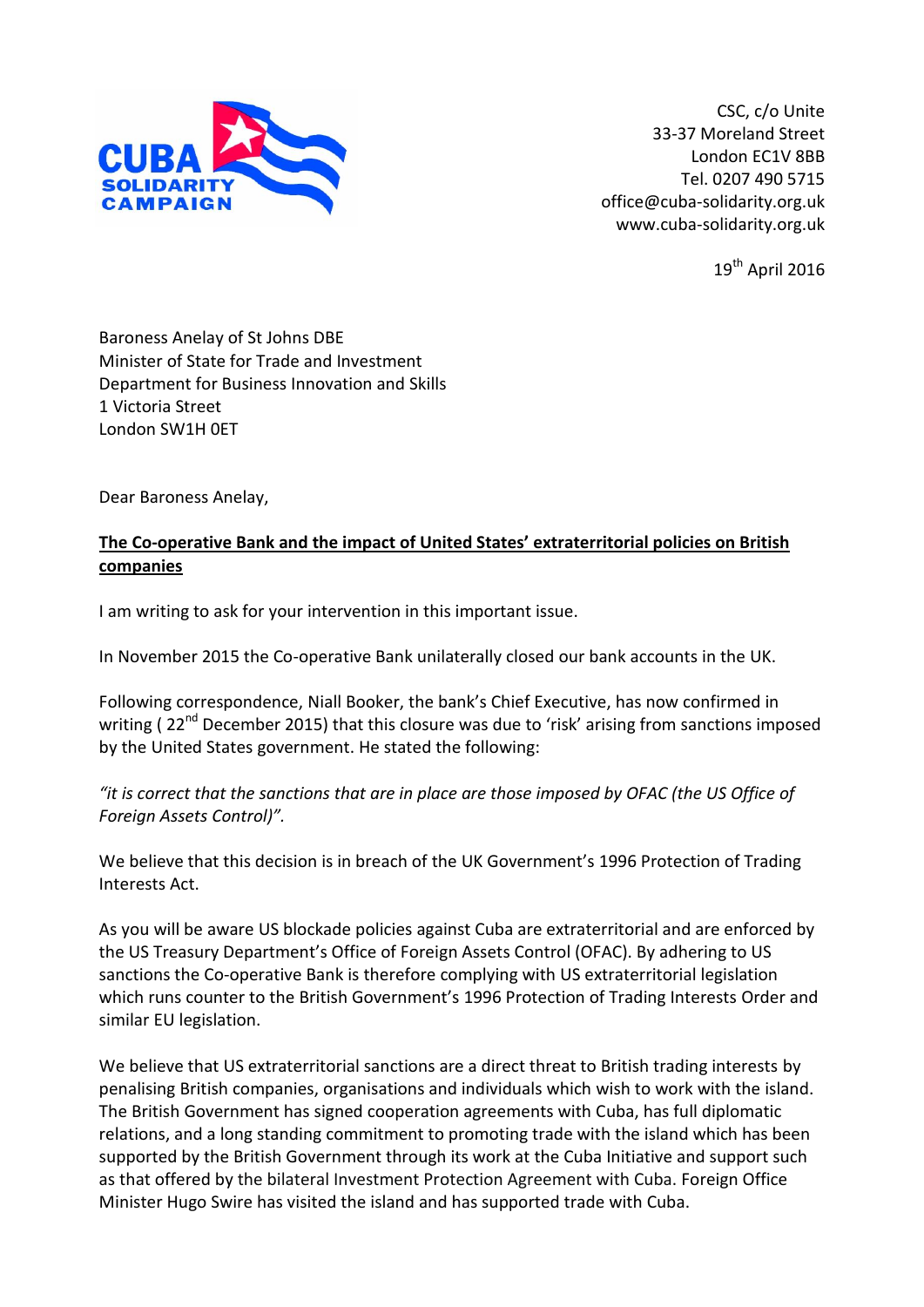

CSC, c/o Unite 33-37 Moreland Street London EC1V 8BB Tel. 0207 490 5715 office@cuba-solidarity.org.uk www.cuba-solidarity.org.uk

 $19^{th}$  April 2016

Baroness Anelay of St Johns DBE Minister of State for Trade and Investment Department for Business Innovation and Skills 1 Victoria Street London SW1H 0ET

Dear Baroness Anelay,

## **The Co-operative Bank and the impact of United States' extraterritorial policies on British companies**

I am writing to ask for your intervention in this important issue.

In November 2015 the Co-operative Bank unilaterally closed our bank accounts in the UK.

Following correspondence, Niall Booker, the bank's Chief Executive, has now confirmed in writing (22<sup>nd</sup> December 2015) that this closure was due to 'risk' arising from sanctions imposed by the United States government. He stated the following:

*"it is correct that the sanctions that are in place are those imposed by OFAC (the US Office of Foreign Assets Control)".*

We believe that this decision is in breach of the UK Government's 1996 Protection of Trading Interests Act.

As you will be aware US blockade policies against Cuba are extraterritorial and are enforced by the US Treasury Department's Office of Foreign Assets Control (OFAC). By adhering to US sanctions the Co-operative Bank is therefore complying with US extraterritorial legislation which runs counter to the British Government's 1996 Protection of Trading Interests Order and similar EU legislation.

We believe that US extraterritorial sanctions are a direct threat to British trading interests by penalising British companies, organisations and individuals which wish to work with the island. The British Government has signed cooperation agreements with Cuba, has full diplomatic relations, and a long standing commitment to promoting trade with the island which has been supported by the British Government through its work at the Cuba Initiative and support such as that offered by the bilateral Investment Protection Agreement with Cuba. Foreign Office Minister Hugo Swire has visited the island and has supported trade with Cuba.